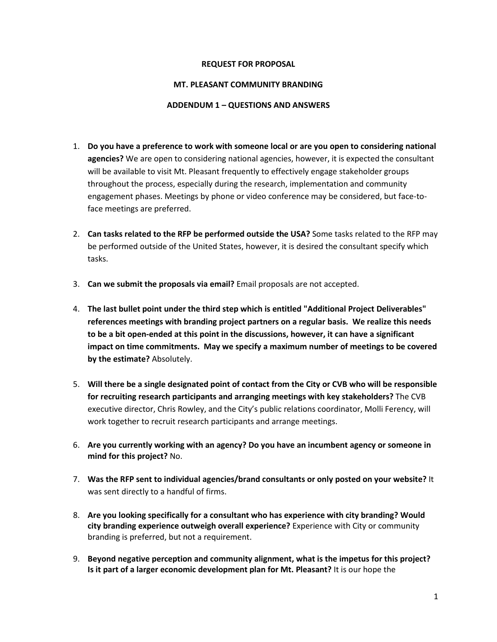## **REQUEST FOR PROPOSAL**

## **MT. PLEASANT COMMUNITY BRANDING**

## **ADDENDUM 1 – QUESTIONS AND ANSWERS**

- 1. **Do you have a preference to work with someone local or are you open to considering national agencies?** We are open to considering national agencies, however, it is expected the consultant will be available to visit Mt. Pleasant frequently to effectively engage stakeholder groups throughout the process, especially during the research, implementation and community engagement phases. Meetings by phone or video conference may be considered, but face-toface meetings are preferred.
- 2. **Can tasks related to the RFP be performed outside the USA?** Some tasks related to the RFP may be performed outside of the United States, however, it is desired the consultant specify which tasks.
- 3. **Can we submit the proposals via email?** Email proposals are not accepted.
- 4. **The last bullet point under the third step which is entitled "Additional Project Deliverables" references meetings with branding project partners on a regular basis. We realize this needs to be a bit open-ended at this point in the discussions, however, it can have a significant impact on time commitments. May we specify a maximum number of meetings to be covered by the estimate?** Absolutely.
- 5. **Will there be a single designated point of contact from the City or CVB who will be responsible for recruiting research participants and arranging meetings with key stakeholders?** The CVB executive director, Chris Rowley, and the City's public relations coordinator, Molli Ferency, will work together to recruit research participants and arrange meetings.
- 6. **Are you currently working with an agency? Do you have an incumbent agency or someone in mind for this project?** No.
- 7. **Was the RFP sent to individual agencies/brand consultants or only posted on your website?** It was sent directly to a handful of firms.
- 8. **Are you looking specifically for a consultant who has experience with city branding? Would city branding experience outweigh overall experience?** Experience with City or community branding is preferred, but not a requirement.
- 9. **Beyond negative perception and community alignment, what is the impetus for this project? Is it part of a larger economic development plan for Mt. Pleasant?** It is our hope the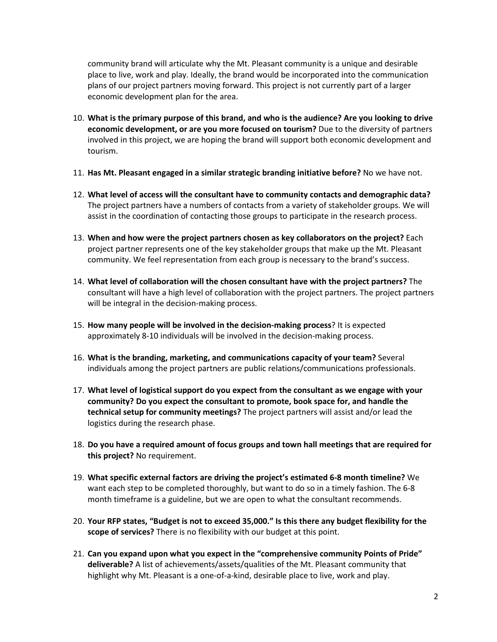community brand will articulate why the Mt. Pleasant community is a unique and desirable place to live, work and play. Ideally, the brand would be incorporated into the communication plans of our project partners moving forward. This project is not currently part of a larger economic development plan for the area.

- 10. **What is the primary purpose of this brand, and who is the audience? Are you looking to drive economic development, or are you more focused on tourism?** Due to the diversity of partners involved in this project, we are hoping the brand will support both economic development and tourism.
- 11. **Has Mt. Pleasant engaged in a similar strategic branding initiative before?** No we have not.
- 12. **What level of access will the consultant have to community contacts and demographic data?** The project partners have a numbers of contacts from a variety of stakeholder groups. We will assist in the coordination of contacting those groups to participate in the research process.
- 13. **When and how were the project partners chosen as key collaborators on the project?** Each project partner represents one of the key stakeholder groups that make up the Mt. Pleasant community. We feel representation from each group is necessary to the brand's success.
- 14. **What level of collaboration will the chosen consultant have with the project partners?** The consultant will have a high level of collaboration with the project partners. The project partners will be integral in the decision-making process.
- 15. **How many people will be involved in the decision-making process**? It is expected approximately 8-10 individuals will be involved in the decision-making process.
- 16. **What is the branding, marketing, and communications capacity of your team?** Several individuals among the project partners are public relations/communications professionals.
- 17. **What level of logistical support do you expect from the consultant as we engage with your community? Do you expect the consultant to promote, book space for, and handle the technical setup for community meetings?** The project partners will assist and/or lead the logistics during the research phase.
- 18. **Do you have a required amount of focus groups and town hall meetings that are required for this project?** No requirement.
- 19. **What specific external factors are driving the project's estimated 6-8 month timeline?** We want each step to be completed thoroughly, but want to do so in a timely fashion. The 6-8 month timeframe is a guideline, but we are open to what the consultant recommends.
- 20. **Your RFP states, "Budget is not to exceed 35,000." Is this there any budget flexibility for the scope of services?** There is no flexibility with our budget at this point.
- 21. **Can you expand upon what you expect in the "comprehensive community Points of Pride" deliverable?** A list of achievements/assets/qualities of the Mt. Pleasant community that highlight why Mt. Pleasant is a one-of-a-kind, desirable place to live, work and play.